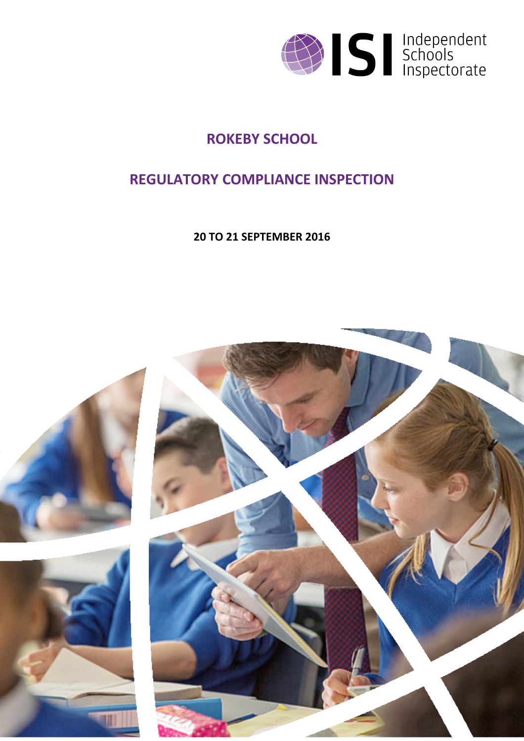

## **ROKEBY SCHOOL**

## **REGULATORY COMPLIANCE INSPECTION**

**20 TO 21 SEPTEMBER 2016**

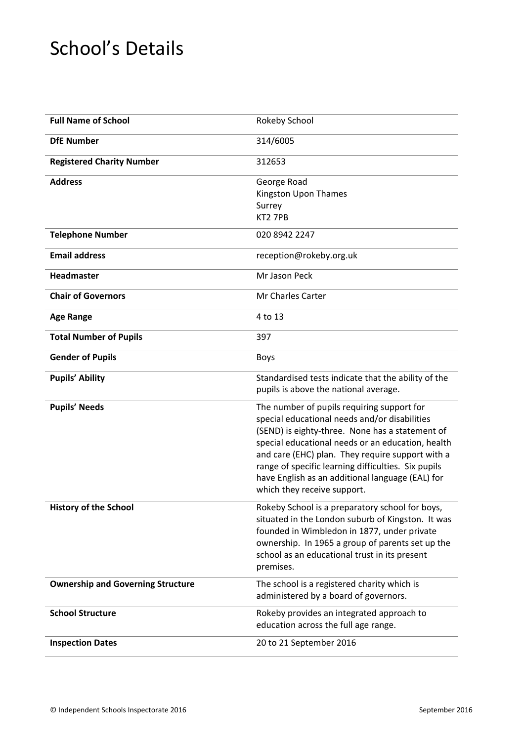# School's Details

| <b>Full Name of School</b>               | Rokeby School                                                                                                                                                                                                                                                                                                                                                                                     |
|------------------------------------------|---------------------------------------------------------------------------------------------------------------------------------------------------------------------------------------------------------------------------------------------------------------------------------------------------------------------------------------------------------------------------------------------------|
| <b>DfE Number</b>                        | 314/6005                                                                                                                                                                                                                                                                                                                                                                                          |
| <b>Registered Charity Number</b>         | 312653                                                                                                                                                                                                                                                                                                                                                                                            |
| <b>Address</b>                           | George Road<br>Kingston Upon Thames<br>Surrey<br>KT2 7PB                                                                                                                                                                                                                                                                                                                                          |
| <b>Telephone Number</b>                  | 020 8942 2247                                                                                                                                                                                                                                                                                                                                                                                     |
| <b>Email address</b>                     | reception@rokeby.org.uk                                                                                                                                                                                                                                                                                                                                                                           |
| Headmaster                               | Mr Jason Peck                                                                                                                                                                                                                                                                                                                                                                                     |
| <b>Chair of Governors</b>                | Mr Charles Carter                                                                                                                                                                                                                                                                                                                                                                                 |
| <b>Age Range</b>                         | 4 to 13                                                                                                                                                                                                                                                                                                                                                                                           |
| <b>Total Number of Pupils</b>            | 397                                                                                                                                                                                                                                                                                                                                                                                               |
| <b>Gender of Pupils</b>                  | <b>Boys</b>                                                                                                                                                                                                                                                                                                                                                                                       |
| <b>Pupils' Ability</b>                   | Standardised tests indicate that the ability of the<br>pupils is above the national average.                                                                                                                                                                                                                                                                                                      |
| <b>Pupils' Needs</b>                     | The number of pupils requiring support for<br>special educational needs and/or disabilities<br>(SEND) is eighty-three. None has a statement of<br>special educational needs or an education, health<br>and care (EHC) plan. They require support with a<br>range of specific learning difficulties. Six pupils<br>have English as an additional language (EAL) for<br>which they receive support. |
| <b>History of the School</b>             | Rokeby School is a preparatory school for boys,<br>situated in the London suburb of Kingston. It was<br>founded in Wimbledon in 1877, under private<br>ownership. In 1965 a group of parents set up the<br>school as an educational trust in its present<br>premises.                                                                                                                             |
| <b>Ownership and Governing Structure</b> | The school is a registered charity which is<br>administered by a board of governors.                                                                                                                                                                                                                                                                                                              |
| <b>School Structure</b>                  | Rokeby provides an integrated approach to<br>education across the full age range.                                                                                                                                                                                                                                                                                                                 |
| <b>Inspection Dates</b>                  | 20 to 21 September 2016                                                                                                                                                                                                                                                                                                                                                                           |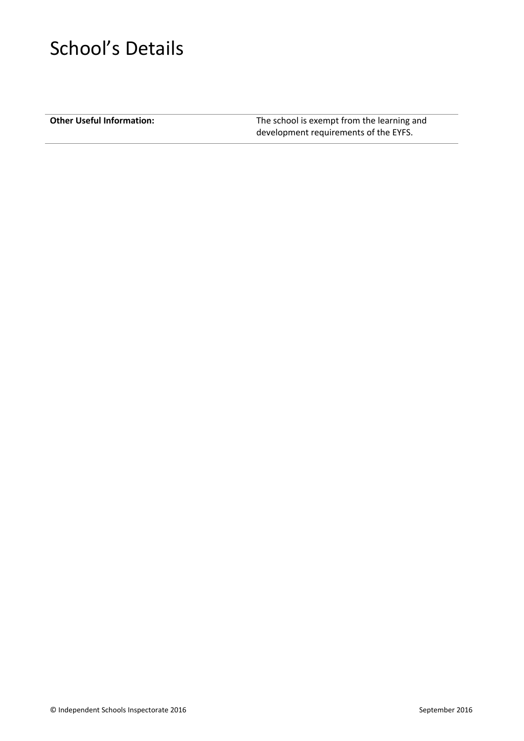# School's Details

**Other Useful Information:** The school is exempt from the learning and development requirements of the EYFS.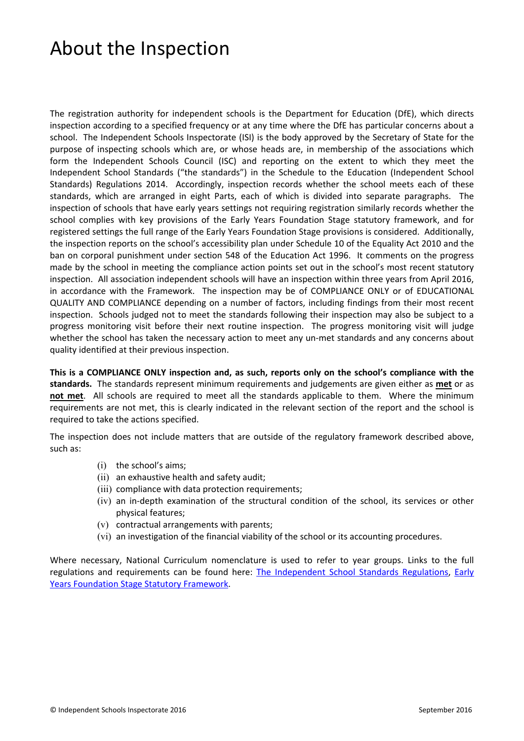# About the Inspection

The registration authority for independent schools is the Department for Education (DfE), which directs inspection according to a specified frequency or at any time where the DfE has particular concerns about a school. The Independent Schools Inspectorate (ISI) is the body approved by the Secretary of State for the purpose of inspecting schools which are, or whose heads are, in membership of the associations which form the Independent Schools Council (ISC) and reporting on the extent to which they meet the Independent School Standards ("the standards") in the Schedule to the Education (Independent School Standards) Regulations 2014. Accordingly, inspection records whether the school meets each of these standards, which are arranged in eight Parts, each of which is divided into separate paragraphs. The inspection of schools that have early years settings not requiring registration similarly records whether the school complies with key provisions of the Early Years Foundation Stage statutory framework, and for registered settings the full range of the Early Years Foundation Stage provisions is considered. Additionally, the inspection reports on the school's accessibility plan under Schedule 10 of the Equality Act 2010 and the ban on corporal punishment under section 548 of the Education Act 1996. It comments on the progress made by the school in meeting the compliance action points set out in the school's most recent statutory inspection. All association independent schools will have an inspection within three years from April 2016, in accordance with the Framework. The inspection may be of COMPLIANCE ONLY or of EDUCATIONAL QUALITY AND COMPLIANCE depending on a number of factors, including findings from their most recent inspection. Schools judged not to meet the standards following their inspection may also be subject to a progress monitoring visit before their next routine inspection. The progress monitoring visit will judge whether the school has taken the necessary action to meet any un-met standards and any concerns about quality identified at their previous inspection.

**This is a COMPLIANCE ONLY inspection and, as such, reports only on the school's compliance with the standards.** The standards represent minimum requirements and judgements are given either as **met** or as **not met**. All schools are required to meet all the standards applicable to them. Where the minimum requirements are not met, this is clearly indicated in the relevant section of the report and the school is required to take the actions specified.

The inspection does not include matters that are outside of the regulatory framework described above, such as:

- (i) the school's aims;
- (ii) an exhaustive health and safety audit;
- (iii) compliance with data protection requirements;
- (iv) an in-depth examination of the structural condition of the school, its services or other physical features;
- (v) contractual arrangements with parents;
- (vi) an investigation of the financial viability of the school or its accounting procedures.

Where necessary, National Curriculum nomenclature is used to refer to year groups. Links to the full regulations and requirements can be found here: The [Independent](http://www.legislation.gov.uk/uksi/2014/3283/contents/made) School Standards Regulations, [Early](https://www.gov.uk/government/publications/early-years-foundation-stage-framework--2) Years [Foundation](https://www.gov.uk/government/publications/early-years-foundation-stage-framework--2) Stage Statutory Framework.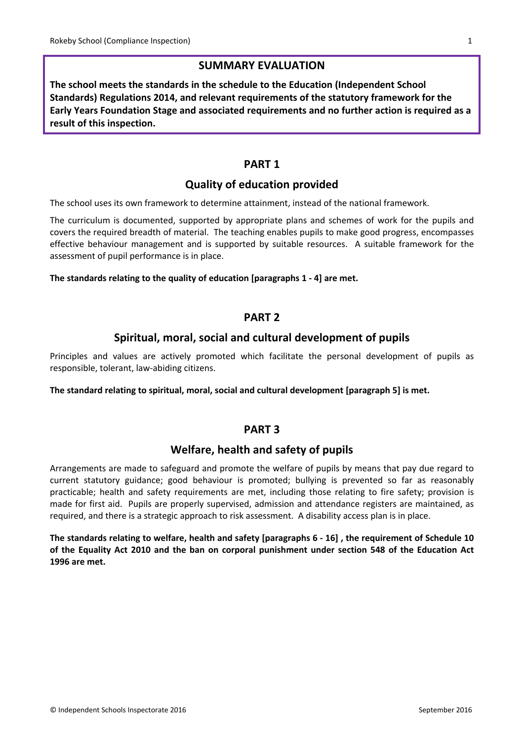### **SUMMARY EVALUATION**

**The school meets the standards in the schedule to the Education (Independent School Standards) Regulations 2014, and relevant requirements of the statutory framework for the Early Years Foundation Stage and associated requirements and no further action is required as a result of this inspection.**

#### **PART 1**

### **Quality of education provided**

The school uses its own framework to determine attainment, instead of the national framework.

The curriculum is documented, supported by appropriate plans and schemes of work for the pupils and covers the required breadth of material. The teaching enables pupils to make good progress, encompasses effective behaviour management and is supported by suitable resources. A suitable framework for the assessment of pupil performance is in place.

#### **The standards relating to the quality of education [paragraphs 1 - 4] are met.**

#### **PART 2**

#### **Spiritual, moral, social and cultural development of pupils**

Principles and values are actively promoted which facilitate the personal development of pupils as responsible, tolerant, law-abiding citizens.

**The standard relating to spiritual, moral, social and cultural development [paragraph 5] is met.**

#### **PART 3**

#### **Welfare, health and safety of pupils**

Arrangements are made to safeguard and promote the welfare of pupils by means that pay due regard to current statutory guidance; good behaviour is promoted; bullying is prevented so far as reasonably practicable; health and safety requirements are met, including those relating to fire safety; provision is made for first aid. Pupils are properly supervised, admission and attendance registers are maintained, as required, and there is a strategic approach to risk assessment. A disability access plan is in place.

The standards relating to welfare, health and safety [paragraphs 6 - 16], the requirement of Schedule 10 **of the Equality Act 2010 and the ban on corporal punishment under section 548 of the Education Act 1996 are met.**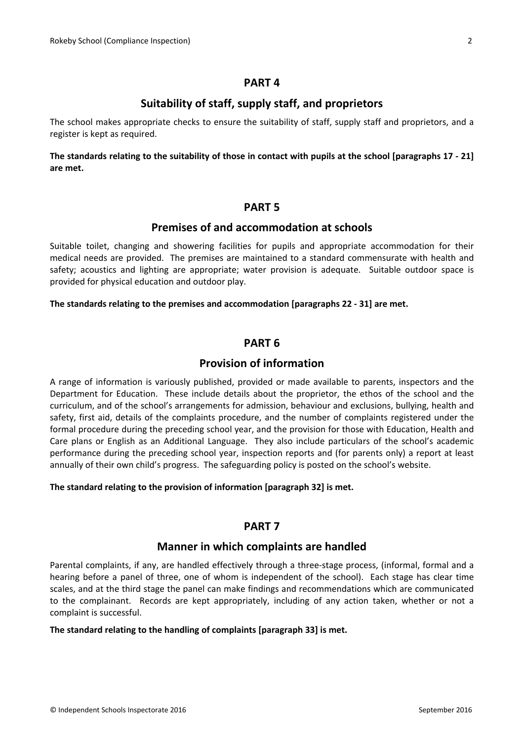#### **PART 4**

### **Suitability of staff, supply staff, and proprietors**

The school makes appropriate checks to ensure the suitability of staff, supply staff and proprietors, and a register is kept as required.

The standards relating to the suitability of those in contact with pupils at the school [paragraphs 17 - 21] **are met.**

#### **PART 5**

#### **Premises of and accommodation at schools**

Suitable toilet, changing and showering facilities for pupils and appropriate accommodation for their medical needs are provided. The premises are maintained to a standard commensurate with health and safety; acoustics and lighting are appropriate; water provision is adequate. Suitable outdoor space is provided for physical education and outdoor play.

#### **The standards relating to the premises and accommodation [paragraphs 22 - 31] are met.**

#### **PART 6**

#### **Provision of information**

A range of information is variously published, provided or made available to parents, inspectors and the Department for Education. These include details about the proprietor, the ethos of the school and the curriculum, and of the school's arrangements for admission, behaviour and exclusions, bullying, health and safety, first aid, details of the complaints procedure, and the number of complaints registered under the formal procedure during the preceding school year, and the provision for those with Education, Health and Care plans or English as an Additional Language. They also include particulars of the school's academic performance during the preceding school year, inspection reports and (for parents only) a report at least annually of their own child's progress. The safeguarding policy is posted on the school's website.

#### **The standard relating to the provision of information [paragraph 32] is met.**

#### **PART 7**

#### **Manner in which complaints are handled**

Parental complaints, if any, are handled effectively through a three-stage process, (informal, formal and a hearing before a panel of three, one of whom is independent of the school). Each stage has clear time scales, and at the third stage the panel can make findings and recommendations which are communicated to the complainant. Records are kept appropriately, including of any action taken, whether or not a complaint is successful.

#### **The standard relating to the handling of complaints [paragraph 33] is met.**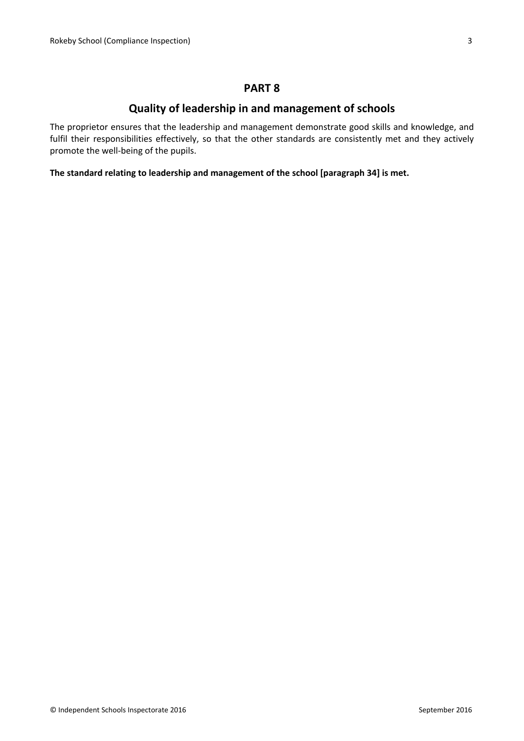### **PART 8**

### **Quality of leadership in and management of schools**

The proprietor ensures that the leadership and management demonstrate good skills and knowledge, and fulfil their responsibilities effectively, so that the other standards are consistently met and they actively promote the well-being of the pupils.

**The standard relating to leadership and management of the school [paragraph 34] is met.**